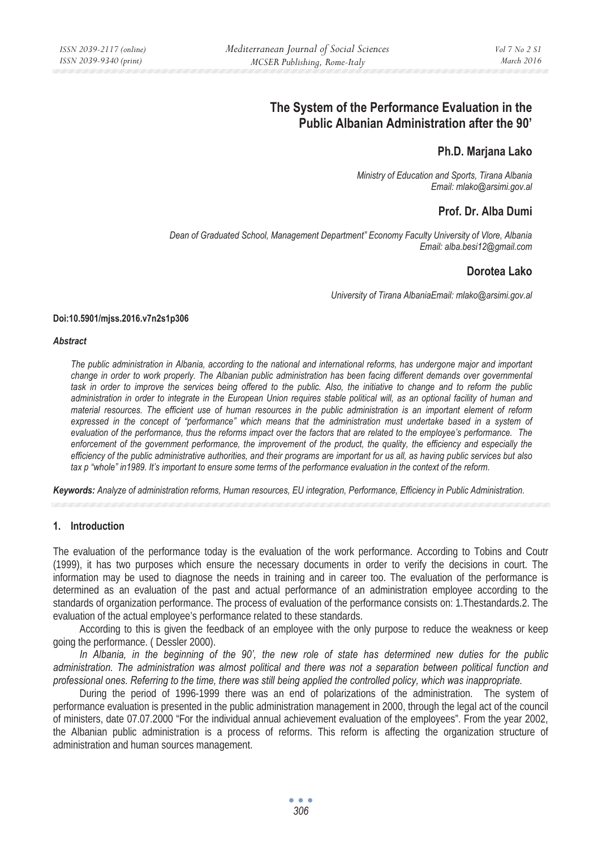# **The System of the Performance Evaluation in the Public Albanian Administration after the 90'**

## **Ph.D. Marjana Lako**

*Ministry of Education and Sports, Tirana Albania Email: mlako@arsimi.gov.al* 

## **Prof. Dr. Alba Dumi**

*Dean of Graduated School, Management Department" Economy Faculty University of Vlore, Albania Email: alba.besi12@gmail.com* 

## **Dorotea Lako**

*University of Tirana AlbaniaEmail: mlako@arsimi.gov.al* 

#### **Doi:10.5901/mjss.2016.v7n2s1p306**

#### *Abstract*

*The public administration in Albania, according to the national and international reforms, has undergone major and important change in order to work properly. The Albanian public administration has been facing different demands over governmental task in order to improve the services being offered to the public. Also, the initiative to change and to reform the public administration in order to integrate in the European Union requires stable political will, as an optional facility of human and material resources. The efficient use of human resources in the public administration is an important element of reform*  expressed in the concept of "performance" which means that the administration must undertake based in a system of *evaluation of the performance, thus the reforms impact over the factors that are related to the employee's performance. The*  enforcement of the government performance, the improvement of the product, the quality, the efficiency and especially the *efficiency of the public administrative authorities, and their programs are important for us all, as having public services but also tax p "whole" in1989. It's important to ensure some terms of the performance evaluation in the context of the reform.* 

*Keywords: Analyze of administration reforms, Human resources, EU integration, Performance, Efficiency in Public Administration.* 

### **1. Introduction**

The evaluation of the performance today is the evaluation of the work performance. According to Tobins and Coutr (1999), it has two purposes which ensure the necessary documents in order to verify the decisions in court. The information may be used to diagnose the needs in training and in career too. The evaluation of the performance is determined as an evaluation of the past and actual performance of an administration employee according to the standards of organization performance. The process of evaluation of the performance consists on: 1.Thestandards.2. The evaluation of the actual employee's performance related to these standards.

According to this is given the feedback of an employee with the only purpose to reduce the weakness or keep going the performance. ( Dessler 2000).

In Albania, in the beginning of the 90', the new role of state has determined new duties for the public *administration. The administration was almost political and there was not a separation between political function and professional ones. Referring to the time, there was still being applied the controlled policy, which was inappropriate.* 

During the period of 1996-1999 there was an end of polarizations of the administration. The system of performance evaluation is presented in the public administration management in 2000, through the legal act of the council of ministers, date 07.07.2000 "For the individual annual achievement evaluation of the employees". From the year 2002, the Albanian public administration is a process of reforms. This reform is affecting the organization structure of administration and human sources management.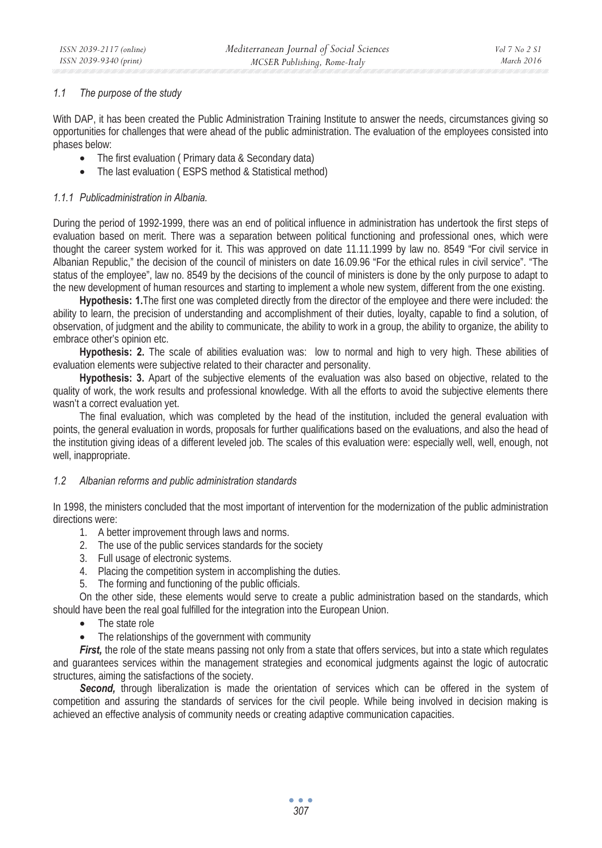### *1.1 The purpose of the study*

With DAP, it has been created the Public Administration Training Institute to answer the needs, circumstances giving so opportunities for challenges that were ahead of the public administration. The evaluation of the employees consisted into phases below:

- The first evaluation ( Primary data & Secondary data)
- The last evaluation (ESPS method & Statistical method)

#### *1.1.1 Publicadministration in Albania.*

During the period of 1992-1999, there was an end of political influence in administration has undertook the first steps of evaluation based on merit. There was a separation between political functioning and professional ones, which were thought the career system worked for it. This was approved on date 11.11.1999 by law no. 8549 "For civil service in Albanian Republic," the decision of the council of ministers on date 16.09.96 "For the ethical rules in civil service". "The status of the employee", law no. 8549 by the decisions of the council of ministers is done by the only purpose to adapt to the new development of human resources and starting to implement a whole new system, different from the one existing.

**Hypothesis: 1.**The first one was completed directly from the director of the employee and there were included: the ability to learn, the precision of understanding and accomplishment of their duties, loyalty, capable to find a solution, of observation, of judgment and the ability to communicate, the ability to work in a group, the ability to organize, the ability to embrace other's opinion etc.

**Hypothesis: 2.** The scale of abilities evaluation was: low to normal and high to very high. These abilities of evaluation elements were subjective related to their character and personality.

**Hypothesis: 3.** Apart of the subjective elements of the evaluation was also based on objective, related to the quality of work, the work results and professional knowledge. With all the efforts to avoid the subjective elements there wasn't a correct evaluation yet.

The final evaluation, which was completed by the head of the institution, included the general evaluation with points, the general evaluation in words, proposals for further qualifications based on the evaluations, and also the head of the institution giving ideas of a different leveled job. The scales of this evaluation were: especially well, well, enough, not well, inappropriate.

#### *1.2 Albanian reforms and public administration standards*

In 1998, the ministers concluded that the most important of intervention for the modernization of the public administration directions were:

- 1. A better improvement through laws and norms.
- 2. The use of the public services standards for the society
- 3. Full usage of electronic systems.
- 4. Placing the competition system in accomplishing the duties.
- 5. The forming and functioning of the public officials.

On the other side, these elements would serve to create a public administration based on the standards, which should have been the real goal fulfilled for the integration into the European Union.

- The state role
- The relationships of the government with community

*First*, the role of the state means passing not only from a state that offers services, but into a state which regulates and guarantees services within the management strategies and economical judgments against the logic of autocratic structures, aiming the satisfactions of the society.

**Second,** through liberalization is made the orientation of services which can be offered in the system of competition and assuring the standards of services for the civil people. While being involved in decision making is achieved an effective analysis of community needs or creating adaptive communication capacities.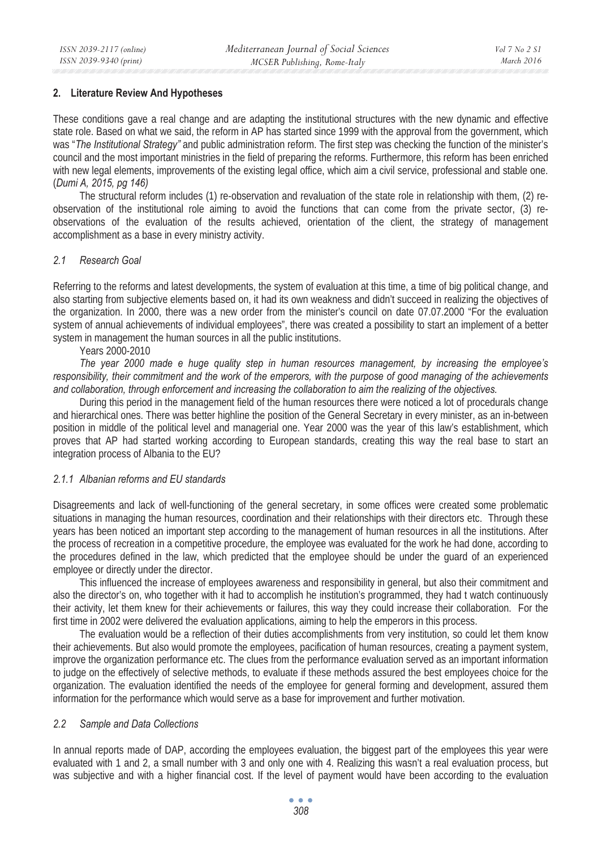### **2. Literature Review And Hypotheses**

These conditions gave a real change and are adapting the institutional structures with the new dynamic and effective state role. Based on what we said, the reform in AP has started since 1999 with the approval from the government, which was "*The Institutional Strategy"* and public administration reform. The first step was checking the function of the minister's council and the most important ministries in the field of preparing the reforms. Furthermore, this reform has been enriched with new legal elements, improvements of the existing legal office, which aim a civil service, professional and stable one. (*Dumi A, 2015, pg 146)* 

The structural reform includes (1) re-observation and revaluation of the state role in relationship with them, (2) reobservation of the institutional role aiming to avoid the functions that can come from the private sector, (3) reobservations of the evaluation of the results achieved, orientation of the client, the strategy of management accomplishment as a base in every ministry activity.

### *2.1 Research Goal*

Referring to the reforms and latest developments, the system of evaluation at this time, a time of big political change, and also starting from subjective elements based on, it had its own weakness and didn't succeed in realizing the objectives of the organization. In 2000, there was a new order from the minister's council on date 07.07.2000 "For the evaluation system of annual achievements of individual employees", there was created a possibility to start an implement of a better system in management the human sources in all the public institutions.

### Years 2000-2010

*The year 2000 made e huge quality step in human resources management, by increasing the employee's responsibility, their commitment and the work of the emperors, with the purpose of good managing of the achievements and collaboration, through enforcement and increasing the collaboration to aim the realizing of the objectives.* 

During this period in the management field of the human resources there were noticed a lot of procedurals change and hierarchical ones. There was better highline the position of the General Secretary in every minister, as an in-between position in middle of the political level and managerial one. Year 2000 was the year of this law's establishment, which proves that AP had started working according to European standards, creating this way the real base to start an integration process of Albania to the EU?

### *2.1.1 Albanian reforms and EU standards*

Disagreements and lack of well-functioning of the general secretary, in some offices were created some problematic situations in managing the human resources, coordination and their relationships with their directors etc. Through these years has been noticed an important step according to the management of human resources in all the institutions. After the process of recreation in a competitive procedure, the employee was evaluated for the work he had done, according to the procedures defined in the law, which predicted that the employee should be under the guard of an experienced employee or directly under the director.

This influenced the increase of employees awareness and responsibility in general, but also their commitment and also the director's on, who together with it had to accomplish he institution's programmed, they had t watch continuously their activity, let them knew for their achievements or failures, this way they could increase their collaboration. For the first time in 2002 were delivered the evaluation applications, aiming to help the emperors in this process.

The evaluation would be a reflection of their duties accomplishments from very institution, so could let them know their achievements. But also would promote the employees, pacification of human resources, creating a payment system, improve the organization performance etc. The clues from the performance evaluation served as an important information to judge on the effectively of selective methods, to evaluate if these methods assured the best employees choice for the organization. The evaluation identified the needs of the employee for general forming and development, assured them information for the performance which would serve as a base for improvement and further motivation.

## *2.2 Sample and Data Collections*

In annual reports made of DAP, according the employees evaluation, the biggest part of the employees this year were evaluated with 1 and 2, a small number with 3 and only one with 4. Realizing this wasn't a real evaluation process, but was subjective and with a higher financial cost. If the level of payment would have been according to the evaluation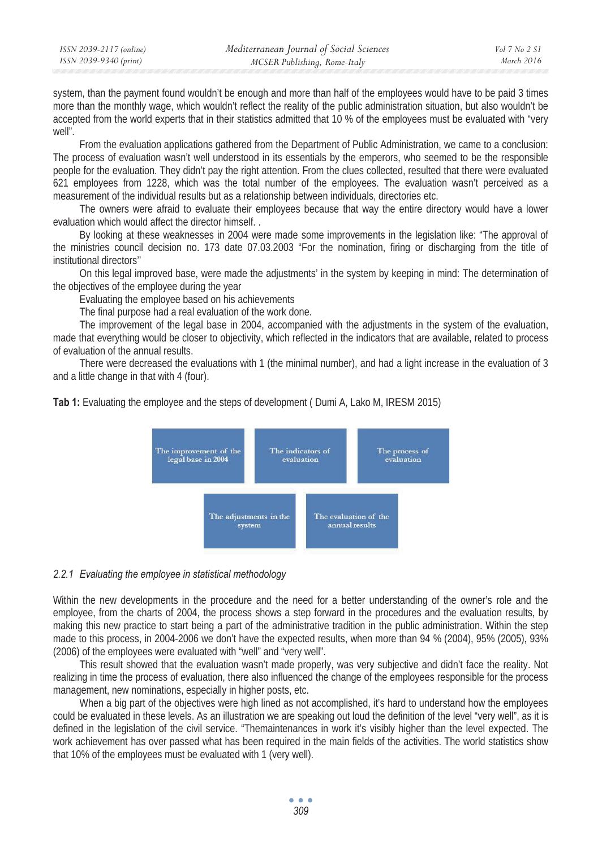system, than the payment found wouldn't be enough and more than half of the employees would have to be paid 3 times more than the monthly wage, which wouldn't reflect the reality of the public administration situation, but also wouldn't be accepted from the world experts that in their statistics admitted that 10 % of the employees must be evaluated with "very well".

From the evaluation applications gathered from the Department of Public Administration, we came to a conclusion: The process of evaluation wasn't well understood in its essentials by the emperors, who seemed to be the responsible people for the evaluation. They didn't pay the right attention. From the clues collected, resulted that there were evaluated 621 employees from 1228, which was the total number of the employees. The evaluation wasn't perceived as a measurement of the individual results but as a relationship between individuals, directories etc.

The owners were afraid to evaluate their employees because that way the entire directory would have a lower evaluation which would affect the director himself. .

By looking at these weaknesses in 2004 were made some improvements in the legislation like: "The approval of the ministries council decision no. 173 date 07.03.2003 "For the nomination, firing or discharging from the title of institutional directors''

On this legal improved base, were made the adjustments' in the system by keeping in mind: The determination of the objectives of the employee during the year

Evaluating the employee based on his achievements

The final purpose had a real evaluation of the work done.

The improvement of the legal base in 2004, accompanied with the adjustments in the system of the evaluation, made that everything would be closer to objectivity, which reflected in the indicators that are available, related to process of evaluation of the annual results.

There were decreased the evaluations with 1 (the minimal number), and had a light increase in the evaluation of 3 and a little change in that with 4 (four).

**Tab 1:** Evaluating the employee and the steps of development ( Dumi A, Lako M, IRESM 2015)



#### *2.2.1 Evaluating the employee in statistical methodology*

Within the new developments in the procedure and the need for a better understanding of the owner's role and the employee, from the charts of 2004, the process shows a step forward in the procedures and the evaluation results, by making this new practice to start being a part of the administrative tradition in the public administration. Within the step made to this process, in 2004-2006 we don't have the expected results, when more than 94 % (2004), 95% (2005), 93% (2006) of the employees were evaluated with "well" and "very well".

This result showed that the evaluation wasn't made properly, was very subjective and didn't face the reality. Not realizing in time the process of evaluation, there also influenced the change of the employees responsible for the process management, new nominations, especially in higher posts, etc.

When a big part of the objectives were high lined as not accomplished, it's hard to understand how the employees could be evaluated in these levels. As an illustration we are speaking out loud the definition of the level "very well", as it is defined in the legislation of the civil service. "Themaintenances in work it's visibly higher than the level expected. The work achievement has over passed what has been required in the main fields of the activities. The world statistics show that 10% of the employees must be evaluated with 1 (very well).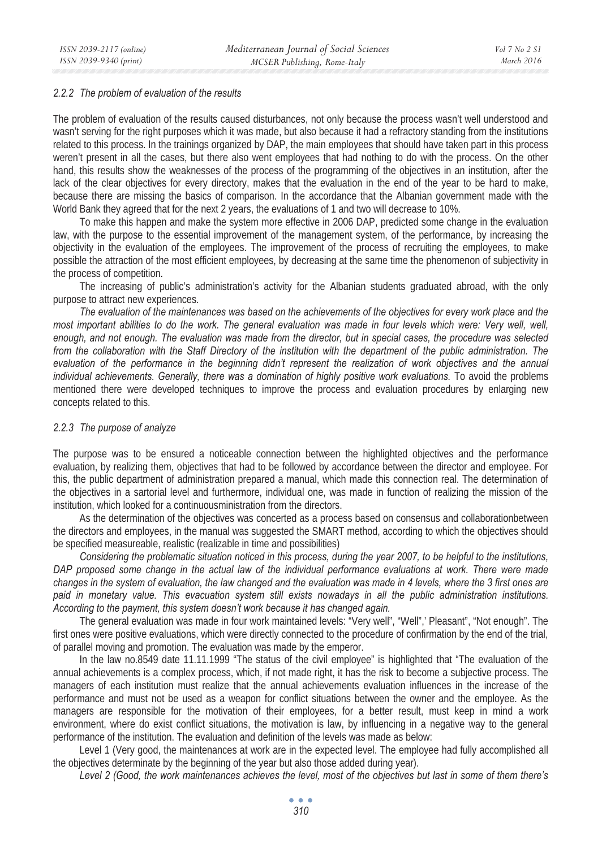#### *2.2.2 The problem of evaluation of the results*

The problem of evaluation of the results caused disturbances, not only because the process wasn't well understood and wasn't serving for the right purposes which it was made, but also because it had a refractory standing from the institutions related to this process. In the trainings organized by DAP, the main employees that should have taken part in this process weren't present in all the cases, but there also went employees that had nothing to do with the process. On the other hand, this results show the weaknesses of the process of the programming of the objectives in an institution, after the lack of the clear objectives for every directory, makes that the evaluation in the end of the year to be hard to make, because there are missing the basics of comparison. In the accordance that the Albanian government made with the World Bank they agreed that for the next 2 years, the evaluations of 1 and two will decrease to 10%.

To make this happen and make the system more effective in 2006 DAP, predicted some change in the evaluation law, with the purpose to the essential improvement of the management system, of the performance, by increasing the objectivity in the evaluation of the employees. The improvement of the process of recruiting the employees, to make possible the attraction of the most efficient employees, by decreasing at the same time the phenomenon of subjectivity in the process of competition.

The increasing of public's administration's activity for the Albanian students graduated abroad, with the only purpose to attract new experiences.

*The evaluation of the maintenances was based on the achievements of the objectives for every work place and the most important abilities to do the work. The general evaluation was made in four levels which were: Very well, well, enough, and not enough. The evaluation was made from the director, but in special cases, the procedure was selected from the collaboration with the Staff Directory of the institution with the department of the public administration. The evaluation of the performance in the beginning didn't represent the realization of work objectives and the annual individual achievements. Generally, there was a domination of highly positive work evaluations.* To avoid the problems mentioned there were developed techniques to improve the process and evaluation procedures by enlarging new concepts related to this.

### *2.2.3 The purpose of analyze*

The purpose was to be ensured a noticeable connection between the highlighted objectives and the performance evaluation, by realizing them, objectives that had to be followed by accordance between the director and employee. For this, the public department of administration prepared a manual, which made this connection real. The determination of the objectives in a sartorial level and furthermore, individual one, was made in function of realizing the mission of the institution, which looked for a continuousministration from the directors.

As the determination of the objectives was concerted as a process based on consensus and collaborationbetween the directors and employees, in the manual was suggested the SMART method, according to which the objectives should be specified measureable, realistic (realizable in time and possibilities)

*Considering the problematic situation noticed in this process, during the year 2007, to be helpful to the institutions, DAP proposed some change in the actual law of the individual performance evaluations at work. There were made changes in the system of evaluation, the law changed and the evaluation was made in 4 levels, where the 3 first ones are paid in monetary value. This evacuation system still exists nowadays in all the public administration institutions. According to the payment, this system doesn't work because it has changed again.* 

The general evaluation was made in four work maintained levels: "Very well", "Well",' Pleasant", "Not enough". The first ones were positive evaluations, which were directly connected to the procedure of confirmation by the end of the trial, of parallel moving and promotion. The evaluation was made by the emperor.

In the law no.8549 date 11.11.1999 "The status of the civil employee" is highlighted that "The evaluation of the annual achievements is a complex process, which, if not made right, it has the risk to become a subjective process. The managers of each institution must realize that the annual achievements evaluation influences in the increase of the performance and must not be used as a weapon for conflict situations between the owner and the employee. As the managers are responsible for the motivation of their employees, for a better result, must keep in mind a work environment, where do exist conflict situations, the motivation is law, by influencing in a negative way to the general performance of the institution. The evaluation and definition of the levels was made as below:

Level 1 (Very good, the maintenances at work are in the expected level. The employee had fully accomplished all the objectives determinate by the beginning of the year but also those added during year).

*Level 2 (Good, the work maintenances achieves the level, most of the objectives but last in some of them there's*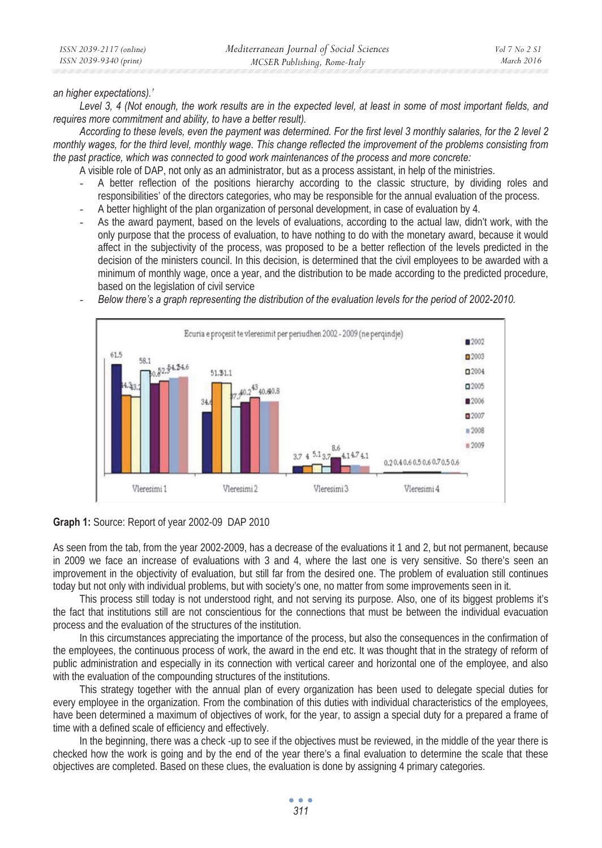#### *an higher expectations).'*

*Level 3, 4 (Not enough, the work results are in the expected level, at least in some of most important fields, and requires more commitment and ability, to have a better result).* 

*According to these levels, even the payment was determined. For the first level 3 monthly salaries, for the 2 level 2 monthly wages, for the third level, monthly wage. This change reflected the improvement of the problems consisting from the past practice, which was connected to good work maintenances of the process and more concrete:* 

A visible role of DAP, not only as an administrator, but as a process assistant, in help of the ministries.

- A better reflection of the positions hierarchy according to the classic structure, by dividing roles and responsibilities' of the directors categories, who may be responsible for the annual evaluation of the process.
- A better highlight of the plan organization of personal development, in case of evaluation by 4.
- As the award payment, based on the levels of evaluations, according to the actual law, didn't work, with the only purpose that the process of evaluation, to have nothing to do with the monetary award, because it would affect in the subjectivity of the process, was proposed to be a better reflection of the levels predicted in the decision of the ministers council. In this decision, is determined that the civil employees to be awarded with a minimum of monthly wage, once a year, and the distribution to be made according to the predicted procedure, based on the legislation of civil service
- *Below there's a graph representing the distribution of the evaluation levels for the period of 2002-2010.*





As seen from the tab, from the year 2002-2009, has a decrease of the evaluations it 1 and 2, but not permanent, because in 2009 we face an increase of evaluations with 3 and 4, where the last one is very sensitive. So there's seen an improvement in the objectivity of evaluation, but still far from the desired one. The problem of evaluation still continues today but not only with individual problems, but with society's one, no matter from some improvements seen in it.

This process still today is not understood right, and not serving its purpose. Also, one of its biggest problems it's the fact that institutions still are not conscientious for the connections that must be between the individual evacuation process and the evaluation of the structures of the institution.

In this circumstances appreciating the importance of the process, but also the consequences in the confirmation of the employees, the continuous process of work, the award in the end etc. It was thought that in the strategy of reform of public administration and especially in its connection with vertical career and horizontal one of the employee, and also with the evaluation of the compounding structures of the institutions.

This strategy together with the annual plan of every organization has been used to delegate special duties for every employee in the organization. From the combination of this duties with individual characteristics of the employees, have been determined a maximum of objectives of work, for the year, to assign a special duty for a prepared a frame of time with a defined scale of efficiency and effectively.

In the beginning, there was a check -up to see if the objectives must be reviewed, in the middle of the year there is checked how the work is going and by the end of the year there's a final evaluation to determine the scale that these objectives are completed. Based on these clues, the evaluation is done by assigning 4 primary categories.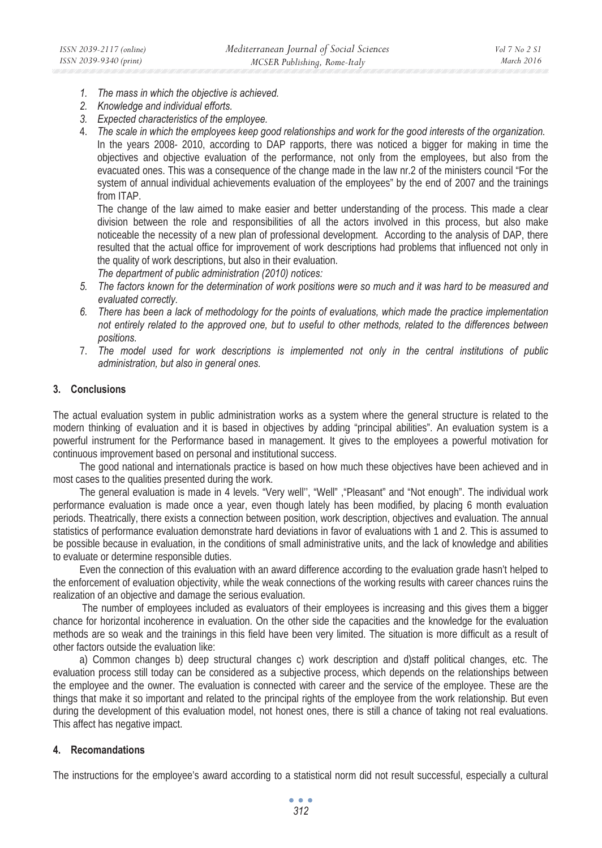- *1. The mass in which the objective is achieved.*
- *2. Knowledge and individual efforts.*
- *3. Expected characteristics of the employee.*
- 4. *The scale in which the employees keep good relationships and work for the good interests of the organization.* In the years 2008- 2010, according to DAP rapports, there was noticed a bigger for making in time the objectives and objective evaluation of the performance, not only from the employees, but also from the evacuated ones. This was a consequence of the change made in the law nr.2 of the ministers council "For the system of annual individual achievements evaluation of the employees" by the end of 2007 and the trainings from ITAP.

The change of the law aimed to make easier and better understanding of the process. This made a clear division between the role and responsibilities of all the actors involved in this process, but also make noticeable the necessity of a new plan of professional development. According to the analysis of DAP, there resulted that the actual office for improvement of work descriptions had problems that influenced not only in the quality of work descriptions, but also in their evaluation.

- *The department of public administration (2010) notices:*
- *5. The factors known for the determination of work positions were so much and it was hard to be measured and evaluated correctly.*
- *6. There has been a lack of methodology for the points of evaluations, which made the practice implementation not entirely related to the approved one, but to useful to other methods, related to the differences between positions.*
- 7. *The model used for work descriptions is implemented not only in the central institutions of public administration, but also in general ones.*

### **3. Conclusions**

The actual evaluation system in public administration works as a system where the general structure is related to the modern thinking of evaluation and it is based in objectives by adding "principal abilities". An evaluation system is a powerful instrument for the Performance based in management. It gives to the employees a powerful motivation for continuous improvement based on personal and institutional success.

The good national and internationals practice is based on how much these objectives have been achieved and in most cases to the qualities presented during the work.

The general evaluation is made in 4 levels. "Very well'', "Well" ,"Pleasant" and "Not enough". The individual work performance evaluation is made once a year, even though lately has been modified, by placing 6 month evaluation periods. Theatrically, there exists a connection between position, work description, objectives and evaluation. The annual statistics of performance evaluation demonstrate hard deviations in favor of evaluations with 1 and 2. This is assumed to be possible because in evaluation, in the conditions of small administrative units, and the lack of knowledge and abilities to evaluate or determine responsible duties.

Even the connection of this evaluation with an award difference according to the evaluation grade hasn't helped to the enforcement of evaluation objectivity, while the weak connections of the working results with career chances ruins the realization of an objective and damage the serious evaluation.

 The number of employees included as evaluators of their employees is increasing and this gives them a bigger chance for horizontal incoherence in evaluation. On the other side the capacities and the knowledge for the evaluation methods are so weak and the trainings in this field have been very limited. The situation is more difficult as a result of other factors outside the evaluation like:

a) Common changes b) deep structural changes c) work description and d)staff political changes, etc. The evaluation process still today can be considered as a subjective process, which depends on the relationships between the employee and the owner. The evaluation is connected with career and the service of the employee. These are the things that make it so important and related to the principal rights of the employee from the work relationship. But even during the development of this evaluation model, not honest ones, there is still a chance of taking not real evaluations. This affect has negative impact.

### **4. Recomandations**

The instructions for the employee's award according to a statistical norm did not result successful, especially a cultural

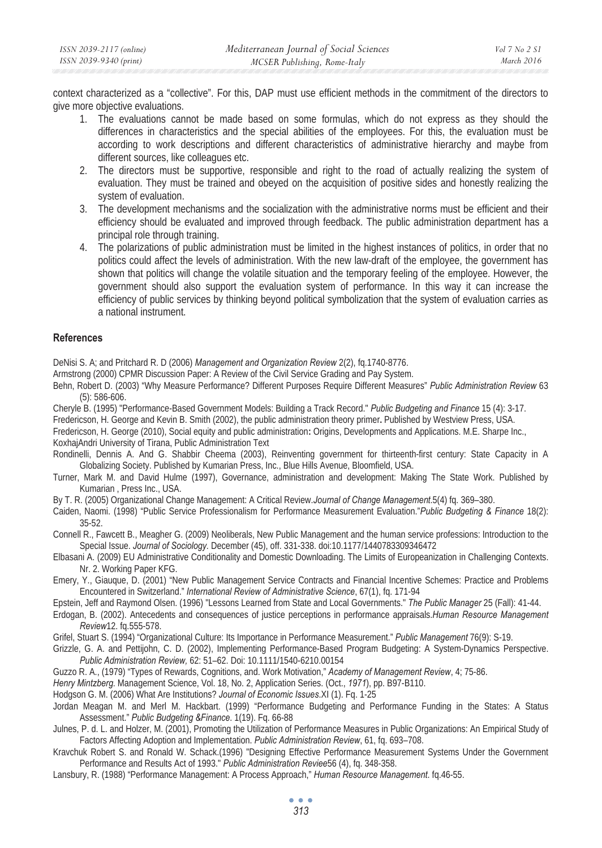context characterized as a "collective". For this, DAP must use efficient methods in the commitment of the directors to give more objective evaluations.

- 1. The evaluations cannot be made based on some formulas, which do not express as they should the differences in characteristics and the special abilities of the employees. For this, the evaluation must be according to work descriptions and different characteristics of administrative hierarchy and maybe from different sources, like colleagues etc.
- 2. The directors must be supportive, responsible and right to the road of actually realizing the system of evaluation. They must be trained and obeyed on the acquisition of positive sides and honestly realizing the system of evaluation.
- 3. The development mechanisms and the socialization with the administrative norms must be efficient and their efficiency should be evaluated and improved through feedback. The public administration department has a principal role through training.
- 4. The polarizations of public administration must be limited in the highest instances of politics, in order that no politics could affect the levels of administration. With the new law-draft of the employee, the government has shown that politics will change the volatile situation and the temporary feeling of the employee. However, the government should also support the evaluation system of performance. In this way it can increase the efficiency of public services by thinking beyond political symbolization that the system of evaluation carries as a national instrument.

#### **References**

DeNisi S. A; and Pritchard R. D (2006) *Management and Organization Review* 2(2), fq.1740-8776.

Armstrong (2000) CPMR Discussion Paper: A Review of the Civil Service Grading and Pay System.

- Behn, Robert D. (2003) "Why Measure Performance? Different Purposes Require Different Measures" *Public Administration Review* 63 (5): 586-606.
- Cheryle B. (1995) "Performance-Based Government Models: Building a Track Record." *Public Budgeting and Finance* 15 (4): 3-17.
- Fredericson, H. George and Kevin B. Smith (2002), the public administration theory primer**.** Published by Westview Press, USA.
- Fredericson, H. George (2010), Social equity and public administration**:** Origins, Developments and Applications. M.E. Sharpe Inc.,

KoxhajAndri University of Tirana, Public Administration Text

- Rondinelli, Dennis A. And G. Shabbir Cheema (2003), Reinventing government for thirteenth-first century: State Capacity in A Globalizing Society. Published by Kumarian Press, Inc., Blue Hills Avenue, Bloomfield, USA.
- Turner, Mark M. and David Hulme (1997), Governance, administration and development: Making The State Work. Published by Kumarian , Press Inc., USA.
- By T. R. (2005) Organizational Change Management: A Critical Review.*Journal of Change Management*.5(4) fq. 369–380.
- Caiden, Naomi. (1998) "Public Service Professionalism for Performance Measurement Evaluation."*Public Budgeting & Finance* 18(2): 35-52.
- Connell R., Fawcett B., Meagher G. (2009) Neoliberals, New Public Management and the human service professions: Introduction to the Special Issue. *Journal of Sociology.* December (45), off. 331-338. doi:10.1177/1440783309346472
- Elbasani A. (2009) EU Administrative Conditionality and Domestic Downloading. The Limits of Europeanization in Challenging Contexts. Nr. 2. Working Paper KFG.
- Emery, Y., Giauque, D. (2001) "New Public Management Service Contracts and Financial Incentive Schemes: Practice and Problems Encountered in Switzerland." *International Review of Administrative Science*, 67(1), fq. 171-94
- Epstein, Jeff and Raymond Olsen. (1996) "Lessons Learned from State and Local Governments." *The Public Manager* 25 (Fall): 41-44.
- Erdogan, B. (2002). Antecedents and consequences of justice perceptions in performance appraisals.*Human Resource Management Review*12. fq.555-578.
- Grifel, Stuart S. (1994) "Organizational Culture: Its Importance in Performance Measurement." *Public Management* 76(9): S-19.
- Grizzle, G. A. and Pettijohn, C. D. (2002), Implementing Performance-Based Program Budgeting: A System-Dynamics Perspective. *Public Administration Review,* 62: 51–62. Doi: 10.1111/1540-6210.00154
- Guzzo R. A., (1979) "Types of Rewards, Cognitions, and. Work Motivation," *Academy of Management Review*, 4; 75-86.

*Henry Mintzberg.* Management Science, Vol. 18, No. 2, Application Series. (Oct., *1971*), pp. B97-B110.

- Hodgson G. M. (2006) What Are Institutions? *Journal of Economic Issues*.XI (1). Fq. 1-25
- Jordan Meagan M. and Merl M. Hackbart. (1999) "Performance Budgeting and Performance Funding in the States: A Status Assessment." *Public Budgeting &Finance*. 1(19). Fq. 66-88
- Julnes, P. d. L. and Holzer, M. (2001), Promoting the Utilization of Performance Measures in Public Organizations: An Empirical Study of Factors Affecting Adoption and Implementation. *Public Administration Review*, 61, fq. 693–708.
- Kravchuk Robert S. and Ronald W. Schack.(1996) "Designing Effective Performance Measurement Systems Under the Government Performance and Results Act of 1993." *Public Administration Reviee*56 (4), fq. 348-358.
- Lansbury, R. (1988) "Performance Management: A Process Approach," *Human Resource Management*. fq.46-55.